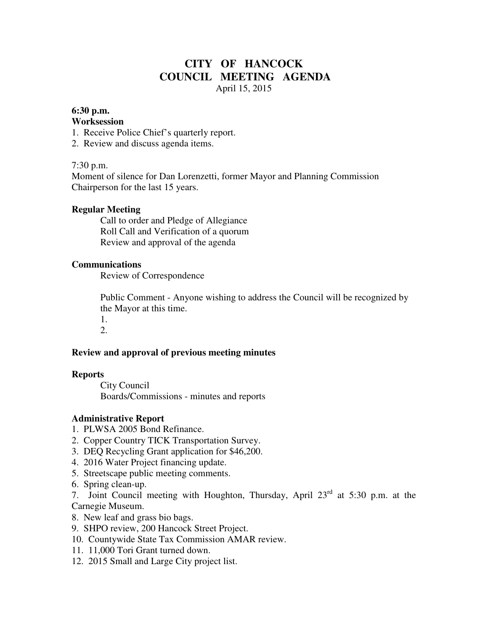# **CITY OF HANCOCK COUNCIL MEETING AGENDA**  April 15, 2015

#### **6:30 p.m.**

#### **Worksession**

- 1. Receive Police Chief's quarterly report.
- 2. Review and discuss agenda items.

### 7:30 p.m.

Moment of silence for Dan Lorenzetti, former Mayor and Planning Commission Chairperson for the last 15 years.

### **Regular Meeting**

 Call to order and Pledge of Allegiance Roll Call and Verification of a quorum Review and approval of the agenda

#### **Communications**

Review of Correspondence

 Public Comment - Anyone wishing to address the Council will be recognized by the Mayor at this time.

1. 2.

### **Review and approval of previous meeting minutes**

### **Reports**

City Council Boards/Commissions - minutes and reports

### **Administrative Report**

- 1. PLWSA 2005 Bond Refinance.
- 2. Copper Country TICK Transportation Survey.
- 3. DEQ Recycling Grant application for \$46,200.
- 4. 2016 Water Project financing update.
- 5. Streetscape public meeting comments.
- 6. Spring clean-up.

7. Joint Council meeting with Houghton, Thursday, April 23rd at 5:30 p.m. at the Carnegie Museum.

- 8. New leaf and grass bio bags.
- 9. SHPO review, 200 Hancock Street Project.
- 10. Countywide State Tax Commission AMAR review.
- 11. 11,000 Tori Grant turned down.
- 12. 2015 Small and Large City project list.